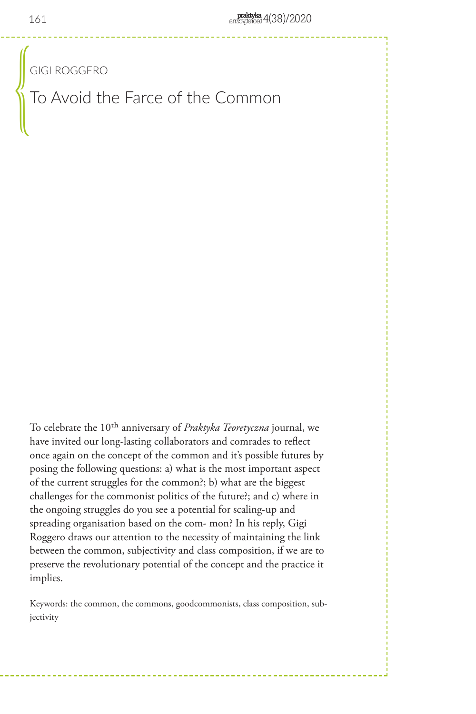GIGI ROGGERO

To Avoid the Farce of the Common  $\begin{pmatrix} 0 & 0 & 0 \\ 0 & 0 & 0 \\ 0 & 0 & 0 \\ 0 & 0 & 0 \\ 0 & 0 & 0 \\ 0 & 0 & 0 \\ 0 & 0 & 0 \\ 0 & 0 & 0 \\ 0 & 0 & 0 \\ 0 & 0 & 0 \\ 0 & 0 & 0 \\ 0 & 0 & 0 \\ 0 & 0 & 0 \\ 0 & 0 & 0 & 0 \\ 0 & 0 & 0 & 0 \\ 0 & 0 & 0 & 0 \\ 0 & 0 & 0 & 0 & 0 \\ 0 & 0 & 0 & 0 & 0 \\ 0 & 0 & 0 & 0 & 0 \\ 0 & 0 & 0 & 0 & 0 &$ 

To celebrate the 10th anniversary of *Praktyka Teoretyczna* journal, we have invited our long-lasting collaborators and comrades to reflect once again on the concept of the common and it's possible futures by posing the following questions: a) what is the most important aspect of the current struggles for the common?; b) what are the biggest challenges for the commonist politics of the future?; and c) where in the ongoing struggles do you see a potential for scaling-up and spreading organisation based on the com- mon? In his reply, Gigi Roggero draws our attention to the necessity of maintaining the link between the common, subjectivity and class composition, if we are to preserve the revolutionary potential of the concept and the practice it implies.

Keywords: the common, the commons, goodcommonists, class composition, subjectivity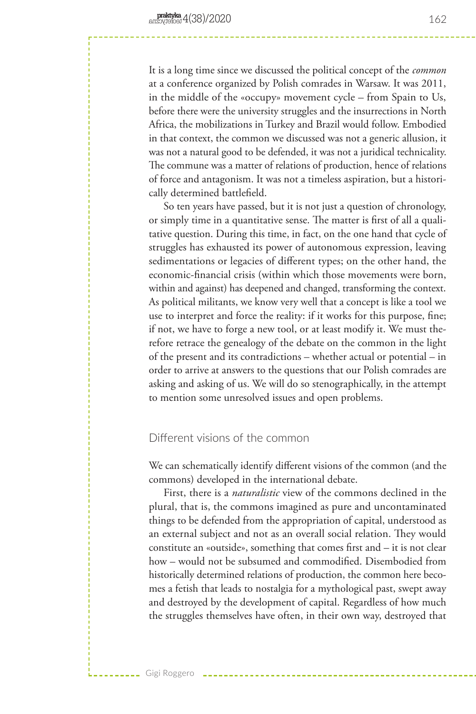It is a long time since we discussed the political concept of the *common* at a conference organized by Polish comrades in Warsaw. It was 2011, in the middle of the «occupy» movement cycle – from Spain to Us, before there were the university struggles and the insurrections in North Africa, the mobilizations in Turkey and Brazil would follow. Embodied in that context, the common we discussed was not a generic allusion, it was not a natural good to be defended, it was not a juridical technicality. The commune was a matter of relations of production, hence of relations of force and antagonism. It was not a timeless aspiration, but a historically determined battlefield.

So ten years have passed, but it is not just a question of chronology, or simply time in a quantitative sense. The matter is first of all a qualitative question. During this time, in fact, on the one hand that cycle of struggles has exhausted its power of autonomous expression, leaving sedimentations or legacies of different types; on the other hand, the economic-financial crisis (within which those movements were born, within and against) has deepened and changed, transforming the context. As political militants, we know very well that a concept is like a tool we use to interpret and force the reality: if it works for this purpose, fine; if not, we have to forge a new tool, or at least modify it. We must therefore retrace the genealogy of the debate on the common in the light of the present and its contradictions – whether actual or potential – in order to arrive at answers to the questions that our Polish comrades are asking and asking of us. We will do so stenographically, in the attempt to mention some unresolved issues and open problems.

## Different visions of the common

Gigi Roggero

We can schematically identify different visions of the common (and the commons) developed in the international debate.

First, there is a *naturalistic* view of the commons declined in the plural, that is, the commons imagined as pure and uncontaminated things to be defended from the appropriation of capital, understood as an external subject and not as an overall social relation. They would constitute an «outside», something that comes first and – it is not clear how – would not be subsumed and commodified. Disembodied from historically determined relations of production, the common here becomes a fetish that leads to nostalgia for a mythological past, swept away and destroyed by the development of capital. Regardless of how much the struggles themselves have often, in their own way, destroyed that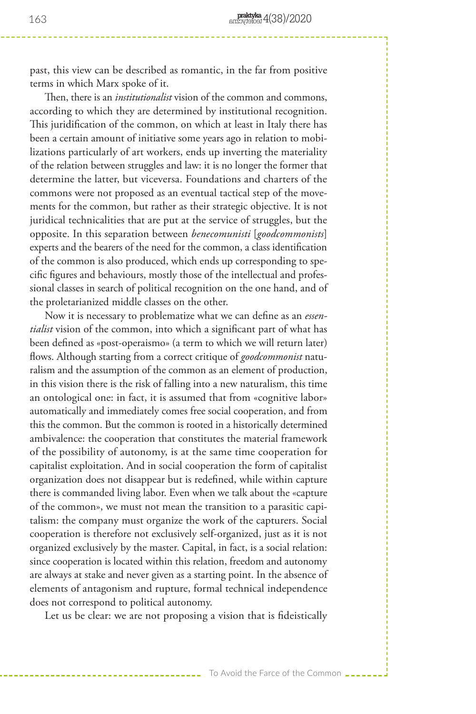past, this view can be described as romantic, in the far from positive terms in which Marx spoke of it.

Then, there is an *institutionalist* vision of the common and commons, according to which they are determined by institutional recognition. This juridification of the common, on which at least in Italy there has been a certain amount of initiative some years ago in relation to mobilizations particularly of art workers, ends up inverting the materiality of the relation between struggles and law: it is no longer the former that determine the latter, but viceversa. Foundations and charters of the commons were not proposed as an eventual tactical step of the movements for the common, but rather as their strategic objective. It is not juridical technicalities that are put at the service of struggles, but the opposite. In this separation between *benecomunisti* [*goodcommonists*] experts and the bearers of the need for the common, a class identification of the common is also produced, which ends up corresponding to specific figures and behaviours, mostly those of the intellectual and professional classes in search of political recognition on the one hand, and of the proletarianized middle classes on the other.

Now it is necessary to problematize what we can define as an *essentialist* vision of the common, into which a significant part of what has been defined as «post-operaismo» (a term to which we will return later) flows. Although starting from a correct critique of *goodcommonist* naturalism and the assumption of the common as an element of production, in this vision there is the risk of falling into a new naturalism, this time an ontological one: in fact, it is assumed that from «cognitive labor» automatically and immediately comes free social cooperation, and from this the common. But the common is rooted in a historically determined ambivalence: the cooperation that constitutes the material framework of the possibility of autonomy, is at the same time cooperation for capitalist exploitation. And in social cooperation the form of capitalist organization does not disappear but is redefined, while within capture there is commanded living labor. Even when we talk about the «capture of the common», we must not mean the transition to a parasitic capitalism: the company must organize the work of the capturers. Social cooperation is therefore not exclusively self-organized, just as it is not organized exclusively by the master. Capital, in fact, is a social relation: since cooperation is located within this relation, freedom and autonomy are always at stake and never given as a starting point. In the absence of elements of antagonism and rupture, formal technical independence does not correspond to political autonomy.

Let us be clear: we are not proposing a vision that is fideistically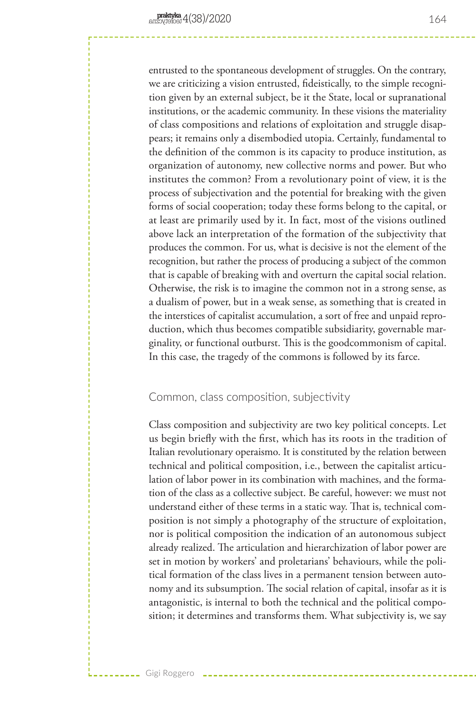entrusted to the spontaneous development of struggles. On the contrary, we are criticizing a vision entrusted, fideistically, to the simple recognition given by an external subject, be it the State, local or supranational institutions, or the academic community. In these visions the materiality of class compositions and relations of exploitation and struggle disappears; it remains only a disembodied utopia. Certainly, fundamental to the definition of the common is its capacity to produce institution, as organization of autonomy, new collective norms and power. But who institutes the common? From a revolutionary point of view, it is the process of subjectivation and the potential for breaking with the given forms of social cooperation; today these forms belong to the capital, or at least are primarily used by it. In fact, most of the visions outlined above lack an interpretation of the formation of the subjectivity that produces the common. For us, what is decisive is not the element of the recognition, but rather the process of producing a subject of the common that is capable of breaking with and overturn the capital social relation. Otherwise, the risk is to imagine the common not in a strong sense, as a dualism of power, but in a weak sense, as something that is created in the interstices of capitalist accumulation, a sort of free and unpaid reproduction, which thus becomes compatible subsidiarity, governable marginality, or functional outburst. This is the goodcommonism of capital. In this case, the tragedy of the commons is followed by its farce.

# Common, class composition, subjectivity

Gigi Roggero

Class composition and subjectivity are two key political concepts. Let us begin briefly with the first, which has its roots in the tradition of Italian revolutionary operaismo. It is constituted by the relation between technical and political composition, i.e., between the capitalist articulation of labor power in its combination with machines, and the formation of the class as a collective subject. Be careful, however: we must not understand either of these terms in a static way. That is, technical composition is not simply a photography of the structure of exploitation, nor is political composition the indication of an autonomous subject already realized. The articulation and hierarchization of labor power are set in motion by workers' and proletarians' behaviours, while the political formation of the class lives in a permanent tension between autonomy and its subsumption. The social relation of capital, insofar as it is antagonistic, is internal to both the technical and the political composition; it determines and transforms them. What subjectivity is, we say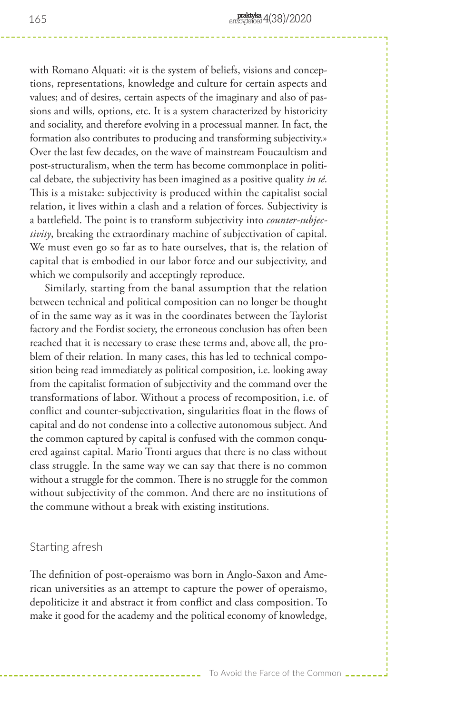with Romano Alquati: «it is the system of beliefs, visions and conceptions, representations, knowledge and culture for certain aspects and values; and of desires, certain aspects of the imaginary and also of passions and wills, options, etc. It is a system characterized by historicity and sociality, and therefore evolving in a processual manner. In fact, the formation also contributes to producing and transforming subjectivity.» Over the last few decades, on the wave of mainstream Foucaultism and post-structuralism, when the term has become commonplace in political debate, the subjectivity has been imagined as a positive quality *in sé*. This is a mistake: subjectivity is produced within the capitalist social relation, it lives within a clash and a relation of forces. Subjectivity is a battlefield. The point is to transform subjectivity into *counter-subjectivity*, breaking the extraordinary machine of subjectivation of capital. We must even go so far as to hate ourselves, that is, the relation of capital that is embodied in our labor force and our subjectivity, and which we compulsorily and acceptingly reproduce.

Similarly, starting from the banal assumption that the relation between technical and political composition can no longer be thought of in the same way as it was in the coordinates between the Taylorist factory and the Fordist society, the erroneous conclusion has often been reached that it is necessary to erase these terms and, above all, the problem of their relation. In many cases, this has led to technical composition being read immediately as political composition, i.e. looking away from the capitalist formation of subjectivity and the command over the transformations of labor. Without a process of recomposition, i.e. of conflict and counter-subjectivation, singularities float in the flows of capital and do not condense into a collective autonomous subject. And the common captured by capital is confused with the common conquered against capital. Mario Tronti argues that there is no class without class struggle. In the same way we can say that there is no common without a struggle for the common. There is no struggle for the common without subjectivity of the common. And there are no institutions of the commune without a break with existing institutions.

### Starting afresh

The definition of post-operaismo was born in Anglo-Saxon and American universities as an attempt to capture the power of operaismo, depoliticize it and abstract it from conflict and class composition. To make it good for the academy and the political economy of knowledge,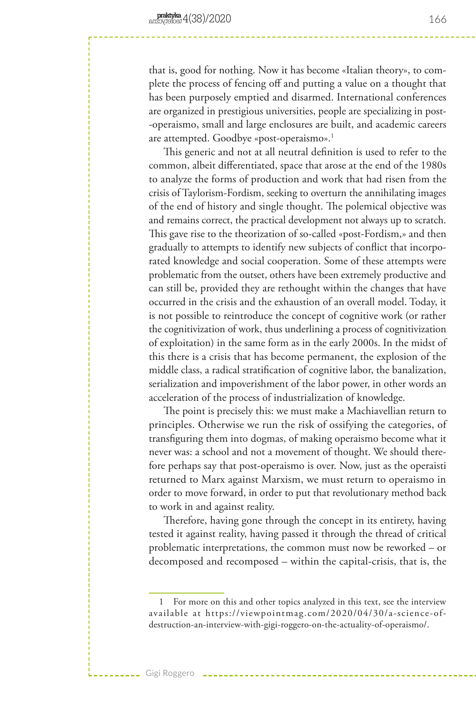that is, good for nothing. Now it has become «Italian theory», to complete the process of fencing off and putting a value on a thought that has been purposely emptied and disarmed. International conferences are organized in prestigious universities, people are specializing in post- -operaismo, small and large enclosures are built, and academic careers are attempted. Goodbye «post-operaismo».<sup>1</sup>

This generic and not at all neutral definition is used to refer to the common, albeit differentiated, space that arose at the end of the 1980s to analyze the forms of production and work that had risen from the crisis of Taylorism-Fordism, seeking to overturn the annihilating images of the end of history and single thought. The polemical objective was and remains correct, the practical development not always up to scratch. This gave rise to the theorization of so-called «post-Fordism,» and then gradually to attempts to identify new subjects of conflict that incorporated knowledge and social cooperation. Some of these attempts were problematic from the outset, others have been extremely productive and can still be, provided they are rethought within the changes that have occurred in the crisis and the exhaustion of an overall model. Today, it is not possible to reintroduce the concept of cognitive work (or rather the cognitivization of work, thus underlining a process of cognitivization of exploitation) in the same form as in the early 2000s. In the midst of this there is a crisis that has become permanent, the explosion of the middle class, a radical stratification of cognitive labor, the banalization, serialization and impoverishment of the labor power, in other words an acceleration of the process of industrialization of knowledge.

The point is precisely this: we must make a Machiavellian return to principles. Otherwise we run the risk of ossifying the categories, of transfiguring them into dogmas, of making operaismo become what it never was: a school and not a movement of thought. We should therefore perhaps say that post-operaismo is over. Now, just as the operaisti returned to Marx against Marxism, we must return to operaismo in order to move forward, in order to put that revolutionary method back to work in and against reality.

Therefore, having gone through the concept in its entirety, having tested it against reality, having passed it through the thread of critical problematic interpretations, the common must now be reworked – or decomposed and recomposed – within the capital-crisis, that is, the

Gigi Roggero

166

<sup>1</sup> For more on this and other topics analyzed in this text, see the interview available at https://viewpointmag.com/2020/04/30/a-science-ofdestruction-an-interview-with-gigi-roggero-on-the-actuality-of-operaismo/.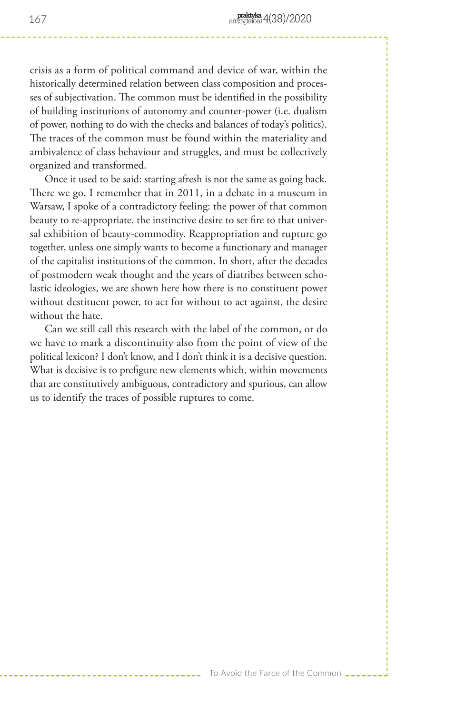crisis as a form of political command and device of war, within the historically determined relation between class composition and processes of subjectivation. The common must be identified in the possibility of building institutions of autonomy and counter-power (i.e. dualism of power, nothing to do with the checks and balances of today's politics). The traces of the common must be found within the materiality and ambivalence of class behaviour and struggles, and must be collectively organized and transformed.

Once it used to be said: starting afresh is not the same as going back. There we go. I remember that in 2011, in a debate in a museum in Warsaw, I spoke of a contradictory feeling: the power of that common beauty to re-appropriate, the instinctive desire to set fire to that universal exhibition of beauty-commodity. Reappropriation and rupture go together, unless one simply wants to become a functionary and manager of the capitalist institutions of the common. In short, after the decades of postmodern weak thought and the years of diatribes between scholastic ideologies, we are shown here how there is no constituent power without destituent power, to act for without to act against, the desire without the hate.

Can we still call this research with the label of the common, or do we have to mark a discontinuity also from the point of view of the political lexicon? I don't know, and I don't think it is a decisive question. What is decisive is to prefigure new elements which, within movements that are constitutively ambiguous, contradictory and spurious, can allow us to identify the traces of possible ruptures to come.